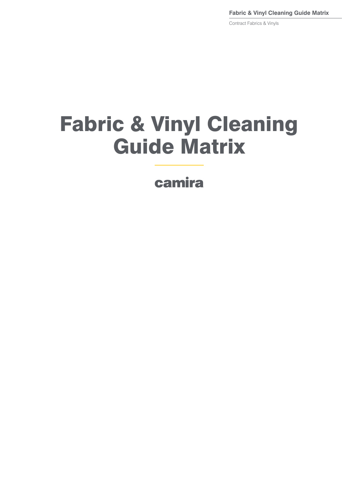**Fabric & Vinyl Cleaning Guide Matrix**

Contract Fabrics & Vinyls

# Fabric & Vinyl Cleaning Guide Matrix

camira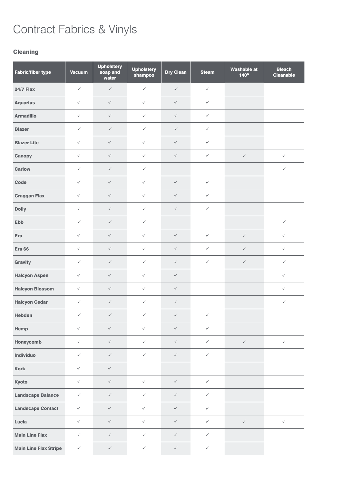### **Cleaning**

| <b>Fabric/fiber type</b>     | <b>Vacuum</b> | <b>Upholstery</b><br>soap and<br>water | <b>Upholstery</b><br><b>Dry Clean</b><br>shampoo |              | <b>Steam</b> | <b>Washable at</b><br>140° | <b>Bleach</b><br><b>Cleanable</b> |
|------------------------------|---------------|----------------------------------------|--------------------------------------------------|--------------|--------------|----------------------------|-----------------------------------|
| <b>24/7 Flax</b>             | $\checkmark$  | $\checkmark$                           | $\checkmark$                                     | $\checkmark$ | $\checkmark$ |                            |                                   |
| <b>Aquarius</b>              | $\checkmark$  | $\checkmark$                           | $\checkmark$                                     | $\checkmark$ | $\checkmark$ |                            |                                   |
| <b>Armadillo</b>             | $\checkmark$  | $\checkmark$                           | $\checkmark$                                     | $\checkmark$ | $\checkmark$ |                            |                                   |
| <b>Blazer</b>                | $\checkmark$  | $\checkmark$                           | $\checkmark$                                     | $\checkmark$ | $\checkmark$ |                            |                                   |
| <b>Blazer Lite</b>           | $\checkmark$  | $\checkmark$                           | $\checkmark$                                     | $\checkmark$ | $\checkmark$ |                            |                                   |
| Canopy                       | $\checkmark$  | $\checkmark$                           | $\checkmark$                                     | $\checkmark$ | $\checkmark$ | $\checkmark$               | $\checkmark$                      |
| <b>Carlow</b>                | $\checkmark$  | $\checkmark$                           | $\checkmark$                                     |              |              |                            | $\checkmark$                      |
| Code                         | $\checkmark$  | $\checkmark$                           | $\checkmark$                                     | $\checkmark$ | $\checkmark$ |                            |                                   |
| <b>Craggan Flax</b>          | $\checkmark$  | $\checkmark$                           | $\checkmark$                                     | $\checkmark$ | $\checkmark$ |                            |                                   |
| <b>Dolly</b>                 | $\checkmark$  | $\checkmark$                           | $\checkmark$                                     | $\checkmark$ | $\checkmark$ |                            |                                   |
| Ebb                          | $\checkmark$  | $\checkmark$                           | $\checkmark$                                     |              |              |                            | $\checkmark$                      |
| Era                          | $\checkmark$  | $\checkmark$                           | $\checkmark$                                     | $\checkmark$ | $\checkmark$ | $\checkmark$               | $\checkmark$                      |
| <b>Era 66</b>                | $\checkmark$  | $\checkmark$                           | $\checkmark$                                     | $\checkmark$ | $\checkmark$ | $\checkmark$               | $\checkmark$                      |
| Gravity                      | $\checkmark$  | $\checkmark$                           | $\checkmark$                                     | $\checkmark$ | $\checkmark$ | $\checkmark$               | $\checkmark$                      |
| <b>Halcyon Aspen</b>         | $\checkmark$  | $\checkmark$                           | $\checkmark$                                     | $\checkmark$ |              |                            | $\checkmark$                      |
| <b>Halcyon Blossom</b>       | $\checkmark$  | $\checkmark$                           | $\checkmark$                                     | $\checkmark$ |              |                            | $\checkmark$                      |
| <b>Halcyon Cedar</b>         | $\checkmark$  | $\checkmark$                           | $\checkmark$                                     | $\checkmark$ |              |                            | $\checkmark$                      |
| Hebden                       | $\checkmark$  | $\checkmark$                           | $\checkmark$                                     | $\checkmark$ | $\checkmark$ |                            |                                   |
| Hemp                         | $\checkmark$  | $\checkmark$                           | $\checkmark$                                     | $\checkmark$ | $\checkmark$ |                            |                                   |
| Honeycomb                    | $\checkmark$  | $\checkmark$                           | $\checkmark$                                     | $\checkmark$ | $\checkmark$ | $\checkmark$               | $\checkmark$                      |
| Individuo                    | $\checkmark$  | $\checkmark$                           | $\checkmark$                                     | $\checkmark$ | $\checkmark$ |                            |                                   |
| <b>Kork</b>                  | $\checkmark$  | $\checkmark$                           |                                                  |              |              |                            |                                   |
| Kyoto                        | $\checkmark$  | $\checkmark$                           | $\checkmark$                                     | $\checkmark$ | $\checkmark$ |                            |                                   |
| <b>Landscape Balance</b>     | $\checkmark$  | $\checkmark$                           | $\checkmark$                                     | $\checkmark$ | $\checkmark$ |                            |                                   |
| <b>Landscape Contact</b>     | $\checkmark$  | $\checkmark$                           | $\checkmark$                                     | $\checkmark$ | $\checkmark$ |                            |                                   |
| Lucia                        | $\checkmark$  | $\checkmark$                           | $\checkmark$                                     | $\checkmark$ | $\checkmark$ | $\checkmark$               | $\checkmark$                      |
| <b>Main Line Flax</b>        | $\checkmark$  | $\checkmark$                           | $\checkmark$                                     | $\checkmark$ | $\checkmark$ |                            |                                   |
| <b>Main Line Flax Stripe</b> | $\checkmark$  | $\checkmark$                           | $\checkmark$                                     | $\checkmark$ | $\checkmark$ |                            |                                   |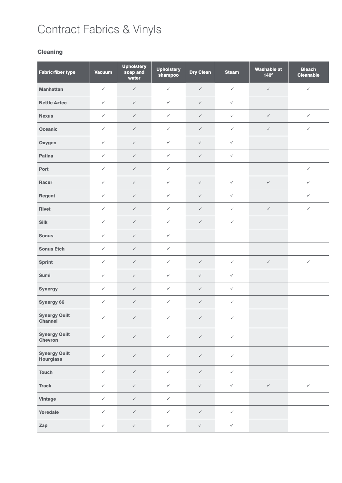### **Cleaning**

| Fabric/fiber type                        | <b>Vacuum</b> | <b>Upholstery</b><br>soap and<br>water | <b>Upholstery</b><br>shampoo | <b>Dry Clean</b> |              | <b>Washable at</b><br>$140^\circ$ | <b>Bleach</b><br><b>Cleanable</b> |
|------------------------------------------|---------------|----------------------------------------|------------------------------|------------------|--------------|-----------------------------------|-----------------------------------|
| <b>Manhattan</b>                         | $\checkmark$  | $\checkmark$                           | $\checkmark$                 | $\checkmark$     | $\checkmark$ | $\checkmark$                      | $\checkmark$                      |
| <b>Nettle Aztec</b>                      | $\checkmark$  | $\checkmark$                           | $\checkmark$                 | $\checkmark$     | $\checkmark$ |                                   |                                   |
| <b>Nexus</b>                             | $\checkmark$  | $\checkmark$                           | $\checkmark$                 | $\checkmark$     | $\checkmark$ | $\checkmark$                      | $\checkmark$                      |
| <b>Oceanic</b>                           | $\checkmark$  | $\checkmark$                           | $\checkmark$                 | $\checkmark$     | $\checkmark$ | $\checkmark$                      | $\checkmark$                      |
| Oxygen                                   | $\checkmark$  | $\checkmark$                           | $\checkmark$                 | $\checkmark$     | $\checkmark$ |                                   |                                   |
| Patina                                   | $\checkmark$  | $\checkmark$                           | $\checkmark$                 | $\checkmark$     | $\checkmark$ |                                   |                                   |
| Port                                     | $\checkmark$  | $\checkmark$                           | $\checkmark$                 |                  |              |                                   | $\checkmark$                      |
| <b>Racer</b>                             | $\checkmark$  | $\checkmark$                           | $\checkmark$                 | $\checkmark$     | $\checkmark$ | $\checkmark$                      | $\checkmark$                      |
| Regent                                   | $\checkmark$  | $\checkmark$                           | $\checkmark$                 | $\checkmark$     | $\checkmark$ |                                   | $\checkmark$                      |
| <b>Rivet</b>                             | $\checkmark$  | $\checkmark$                           | $\checkmark$                 | $\checkmark$     | $\checkmark$ | $\checkmark$                      | $\checkmark$                      |
| <b>Silk</b>                              | $\checkmark$  | $\checkmark$                           | $\checkmark$                 | $\checkmark$     | $\checkmark$ |                                   |                                   |
| <b>Sonus</b>                             | $\checkmark$  | $\checkmark$                           | $\checkmark$                 |                  |              |                                   |                                   |
| <b>Sonus Etch</b>                        | $\checkmark$  | $\checkmark$                           | $\checkmark$                 |                  |              |                                   |                                   |
| <b>Sprint</b>                            | $\checkmark$  | $\checkmark$                           | $\checkmark$                 | $\checkmark$     | $\checkmark$ | $\checkmark$                      | $\checkmark$                      |
| Sumi                                     | $\checkmark$  | $\checkmark$                           | $\checkmark$                 | $\checkmark$     | $\checkmark$ |                                   |                                   |
| <b>Synergy</b>                           | $\checkmark$  | $\checkmark$                           | $\checkmark$                 | $\checkmark$     | $\checkmark$ |                                   |                                   |
| <b>Synergy 66</b>                        | $\checkmark$  | $\checkmark$                           | $\checkmark$                 | $\checkmark$     | $\checkmark$ |                                   |                                   |
| <b>Synergy Quilt</b><br>Channel          | $\checkmark$  | $\checkmark$                           | $\checkmark$                 | $\checkmark$     | $\checkmark$ |                                   |                                   |
| <b>Synergy Quilt</b><br><b>Chevron</b>   | $\checkmark$  | $\checkmark$                           | $\checkmark$                 | $\checkmark$     | $\checkmark$ |                                   |                                   |
| <b>Synergy Quilt</b><br><b>Hourglass</b> | $\checkmark$  | $\checkmark$                           | $\checkmark$                 | $\checkmark$     | $\checkmark$ |                                   |                                   |
| <b>Touch</b>                             | $\checkmark$  | $\checkmark$                           | $\checkmark$                 | $\checkmark$     | $\checkmark$ |                                   |                                   |
| <b>Track</b>                             | $\checkmark$  | $\checkmark$                           | $\checkmark$                 | $\checkmark$     | $\checkmark$ | $\checkmark$                      | $\checkmark$                      |
| <b>Vintage</b>                           | $\checkmark$  | $\checkmark$                           | $\checkmark$                 |                  |              |                                   |                                   |
| Yoredale                                 | $\checkmark$  | $\checkmark$                           | $\checkmark$                 | $\checkmark$     | $\checkmark$ |                                   |                                   |
| Zap                                      | $\checkmark$  | $\checkmark$                           | $\checkmark$                 | $\checkmark$     | $\checkmark$ |                                   |                                   |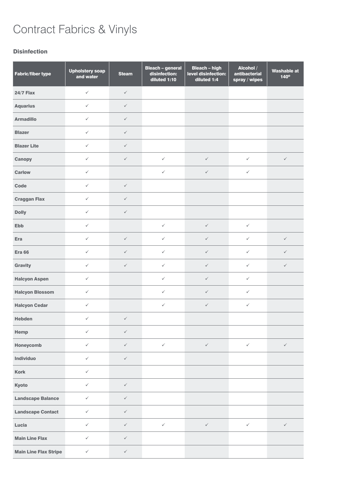#### Disinfection

| Fabric/fiber type            | <b>Upholstery soap</b><br>and water | <b>Steam</b> | <b>Bleach - general</b><br>disinfection:<br>diluted 1:10 | <b>Bleach - high</b><br>level disinfection:<br>diluted 1:4 | Alcohol /<br>antibacterial<br>spray / wipes | <b>Washable at</b><br>140° |
|------------------------------|-------------------------------------|--------------|----------------------------------------------------------|------------------------------------------------------------|---------------------------------------------|----------------------------|
| <b>24/7 Flax</b>             | $\checkmark$                        | $\checkmark$ |                                                          |                                                            |                                             |                            |
| <b>Aquarius</b>              | $\checkmark$                        | $\checkmark$ |                                                          |                                                            |                                             |                            |
| <b>Armadillo</b>             | $\checkmark$                        | $\checkmark$ |                                                          |                                                            |                                             |                            |
| <b>Blazer</b>                | $\checkmark$                        | $\checkmark$ |                                                          |                                                            |                                             |                            |
| <b>Blazer Lite</b>           | $\checkmark$                        | $\checkmark$ |                                                          |                                                            |                                             |                            |
| Canopy                       | $\checkmark$                        | $\checkmark$ | $\checkmark$                                             | $\checkmark$                                               | $\checkmark$                                | $\checkmark$               |
| <b>Carlow</b>                | $\checkmark$                        |              | $\checkmark$                                             | $\checkmark$                                               | $\checkmark$                                |                            |
| Code                         | $\checkmark$                        | $\checkmark$ |                                                          |                                                            |                                             |                            |
| <b>Craggan Flax</b>          | $\checkmark$                        | $\checkmark$ |                                                          |                                                            |                                             |                            |
| <b>Dolly</b>                 | $\checkmark$                        | $\checkmark$ |                                                          |                                                            |                                             |                            |
| Ebb                          | $\checkmark$                        |              | $\checkmark$                                             | $\checkmark$                                               | $\checkmark$                                |                            |
| Era                          | $\checkmark$                        | $\checkmark$ | $\checkmark$                                             | $\checkmark$                                               | $\checkmark$                                | $\checkmark$               |
| <b>Era 66</b>                | $\checkmark$                        | $\checkmark$ | $\checkmark$                                             | $\checkmark$                                               | $\checkmark$                                | $\checkmark$               |
| Gravity                      | $\checkmark$                        | $\checkmark$ | $\checkmark$                                             | $\checkmark$                                               | $\checkmark$                                | $\checkmark$               |
| <b>Halcyon Aspen</b>         | $\checkmark$                        |              | $\checkmark$                                             | $\checkmark$                                               | $\checkmark$                                |                            |
| <b>Halcyon Blossom</b>       | $\checkmark$                        |              | $\checkmark$                                             | $\checkmark$                                               | $\checkmark$                                |                            |
| <b>Halcyon Cedar</b>         | $\checkmark$                        |              | $\checkmark$                                             | $\checkmark$                                               | $\checkmark$                                |                            |
| Hebden                       | $\checkmark$                        | $\checkmark$ |                                                          |                                                            |                                             |                            |
| Hemp                         | $\checkmark$                        | $\checkmark$ |                                                          |                                                            |                                             |                            |
| Honeycomb                    | $\checkmark$                        | $\checkmark$ | $\checkmark$                                             | $\checkmark$                                               | $\checkmark$                                | $\checkmark$               |
| Individuo                    | $\checkmark$                        | $\checkmark$ |                                                          |                                                            |                                             |                            |
| <b>Kork</b>                  | $\checkmark$                        |              |                                                          |                                                            |                                             |                            |
| Kyoto                        | $\checkmark$                        | $\checkmark$ |                                                          |                                                            |                                             |                            |
| <b>Landscape Balance</b>     | $\checkmark$                        | $\checkmark$ |                                                          |                                                            |                                             |                            |
| <b>Landscape Contact</b>     | $\checkmark$                        | $\checkmark$ |                                                          |                                                            |                                             |                            |
| Lucia                        | $\checkmark$                        | $\checkmark$ | $\checkmark$                                             | $\checkmark$                                               | $\checkmark$                                | $\checkmark$               |
| <b>Main Line Flax</b>        | $\checkmark$                        | $\checkmark$ |                                                          |                                                            |                                             |                            |
| <b>Main Line Flax Stripe</b> | $\checkmark$                        | $\checkmark$ |                                                          |                                                            |                                             |                            |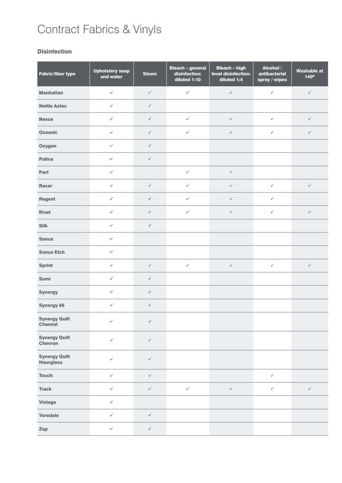#### **Disinfection**

| <b>Fabric/fiber type</b>                 | <b>Upholstery soap</b><br>and water | <b>Steam</b> | <b>Bleach - general</b><br>disinfection:<br>diluted 1:10 | <b>Bleach - high</b><br>level disinfection:<br>diluted 1:4 | Alcohol /<br>antibacterial<br>spray / wipes | <b>Washable at</b><br>140° |
|------------------------------------------|-------------------------------------|--------------|----------------------------------------------------------|------------------------------------------------------------|---------------------------------------------|----------------------------|
| <b>Manhattan</b>                         | $\checkmark$                        | $\checkmark$ | $\checkmark$                                             | $\checkmark$                                               | $\checkmark$                                | $\checkmark$               |
| <b>Nettle Aztec</b>                      | $\checkmark$                        | $\checkmark$ |                                                          |                                                            |                                             |                            |
| <b>Nexus</b>                             | $\checkmark$                        | $\checkmark$ | $\checkmark$                                             | $\checkmark$                                               | $\checkmark$                                | $\checkmark$               |
| <b>Oceanic</b>                           | $\checkmark$                        | $\checkmark$ | $\checkmark$                                             | $\checkmark$                                               | $\checkmark$                                | $\checkmark$               |
| Oxygen                                   | $\checkmark$                        | $\checkmark$ |                                                          |                                                            |                                             |                            |
| Patina                                   | $\checkmark$                        | $\checkmark$ |                                                          |                                                            |                                             |                            |
| Port                                     | $\checkmark$                        |              | $\checkmark$                                             | $\checkmark$                                               |                                             |                            |
| <b>Racer</b>                             | $\checkmark$                        | $\checkmark$ | $\checkmark$                                             | $\checkmark$                                               | $\checkmark$                                | $\checkmark$               |
| Regent                                   | $\checkmark$                        | $\checkmark$ | $\checkmark$                                             | $\checkmark$                                               | $\checkmark$                                |                            |
| <b>Rivet</b>                             | $\checkmark$                        | $\checkmark$ | $\checkmark$                                             | $\checkmark$                                               | $\checkmark$                                | $\checkmark$               |
| <b>Silk</b>                              | $\checkmark$                        | $\checkmark$ |                                                          |                                                            |                                             |                            |
| <b>Sonus</b>                             | $\checkmark$                        |              |                                                          |                                                            |                                             |                            |
| <b>Sonus Etch</b>                        | $\checkmark$                        |              |                                                          |                                                            |                                             |                            |
| <b>Sprint</b>                            | $\checkmark$                        | $\checkmark$ | $\checkmark$                                             | $\checkmark$                                               | $\checkmark$                                | $\checkmark$               |
| Sumi                                     | $\checkmark$                        | $\checkmark$ |                                                          |                                                            |                                             |                            |
| <b>Synergy</b>                           | $\checkmark$                        | $\checkmark$ |                                                          |                                                            |                                             |                            |
| <b>Synergy 66</b>                        | $\checkmark$                        | $\checkmark$ |                                                          |                                                            |                                             |                            |
| <b>Synergy Quilt</b><br><b>Channel</b>   | $\checkmark$                        | $\checkmark$ |                                                          |                                                            |                                             |                            |
| <b>Synergy Quilt</b><br>Chevron          | $\checkmark$                        | $\checkmark$ |                                                          |                                                            |                                             |                            |
| <b>Synergy Quilt</b><br><b>Hourglass</b> | $\checkmark$                        | $\checkmark$ |                                                          |                                                            |                                             |                            |
| <b>Touch</b>                             | $\checkmark$                        | $\checkmark$ |                                                          |                                                            | $\checkmark$                                |                            |
| <b>Track</b>                             | $\checkmark$                        | $\checkmark$ | $\checkmark$                                             | $\checkmark$                                               | $\checkmark$                                | $\checkmark$               |
| <b>Vintage</b>                           | $\checkmark$                        |              |                                                          |                                                            |                                             |                            |
| Yoredale                                 | $\checkmark$                        | $\checkmark$ |                                                          |                                                            |                                             |                            |
| Zap                                      | $\checkmark$                        | $\checkmark$ |                                                          |                                                            |                                             |                            |